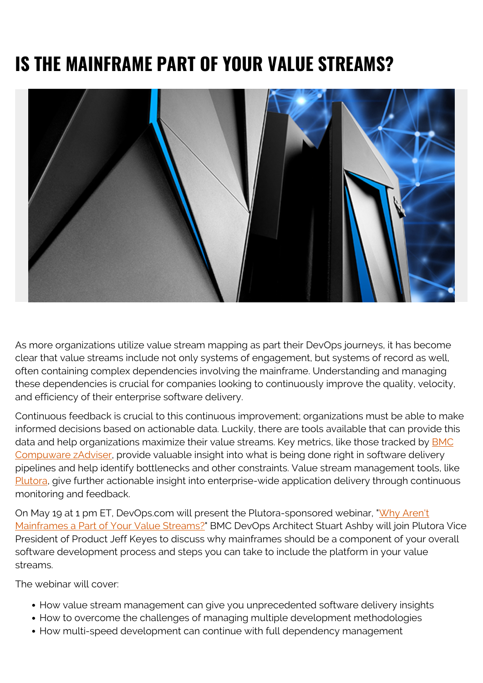## **IS THE MAINFRAME PART OF YOUR VALUE STREAMS?**



As more organizations utilize value stream mapping as part their DevOps journeys, it has become clear that value streams include not only systems of engagement, but systems of record as well, often containing complex dependencies involving the mainframe. Understanding and managing these dependencies is crucial for companies looking to continuously improve the quality, velocity, and efficiency of their enterprise software delivery.

Continuous feedback is crucial to this continuous improvement; organizations must be able to make informed decisions based on actionable data. Luckily, there are tools available that can provide this data and help organizations maximize their value streams. Key metrics, like those tracked by **[BMC](https://blogs.bmc.com/it-solutions/bmc-compuware-zadviser.html)** [Compuware zAdviser,](https://blogs.bmc.com/it-solutions/bmc-compuware-zadviser.html) provide valuable insight into what is being done right in software delivery pipelines and help identify bottlenecks and other constraints. Value stream management tools, like [Plutora,](https://www.plutora.com/) give further actionable insight into enterprise-wide application delivery through continuous monitoring and feedback.

On May 19 at 1 pm ET, DevOps.com will present the Plutora-sponsored webinar, ["Why Aren't](https://webinars.devops.com/why-arent-mainframes-part-of-your-value-streams) [Mainframes a Part of Your Value Streams?](https://webinars.devops.com/why-arent-mainframes-part-of-your-value-streams)" BMC DevOps Architect Stuart Ashby will join Plutora Vice President of Product Jeff Keyes to discuss why mainframes should be a component of your overall software development process and steps you can take to include the platform in your value streams.

The webinar will cover:

- How value stream management can give you unprecedented software delivery insights
- How to overcome the challenges of managing multiple development methodologies
- How multi-speed development can continue with full dependency management